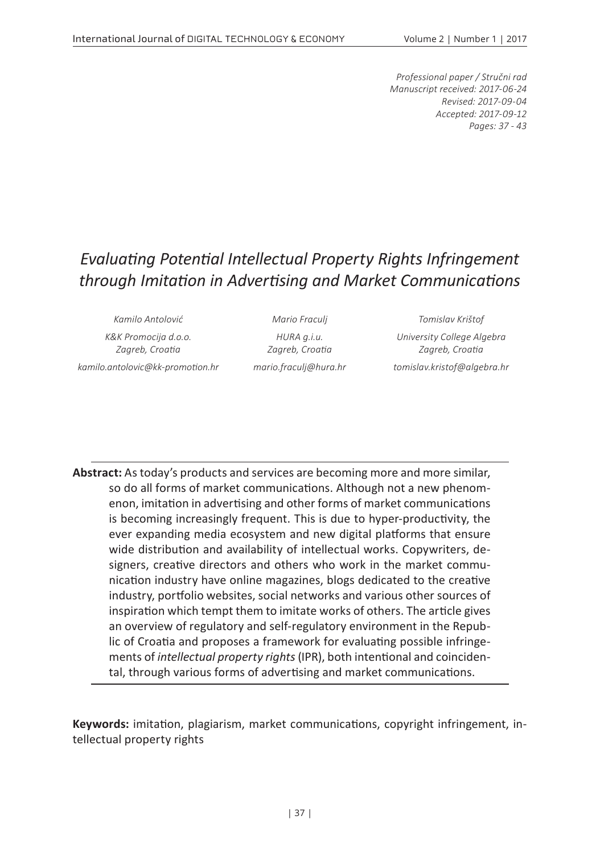*Professional paper / Stručni rad Manuscript received: 2017-06-24 Revised: 2017-09-04 Accepted: 2017-09-12 Pages: 37 - 43*

# *Evaluating Potential Intellectual Property Rights Infringement through Imitation in Advertising and Market Communications*

*Kamilo Antolović Mario Fraculj Tomislav Krištof*

*K&K Promocija d.o.o. Zagreb, Croatia kamilo.antolovic@kk-promotion.hr mario.fraculj@hura.hr tomislav.kristof@algebra.hr*

*HURA g.i.u. Zagreb, Croatia*

*University College Algebra Zagreb, Croatia*

**Abstract:** As today's products and services are becoming more and more similar, so do all forms of market communications. Although not a new phenomenon, imitation in advertising and other forms of market communications is becoming increasingly frequent. This is due to hyper-productivity, the ever expanding media ecosystem and new digital platforms that ensure wide distribution and availability of intellectual works. Copywriters, designers, creative directors and others who work in the market communication industry have online magazines, blogs dedicated to the creative industry, portfolio websites, social networks and various other sources of inspiration which tempt them to imitate works of others. The article gives an overview of regulatory and self-regulatory environment in the Republic of Croatia and proposes a framework for evaluating possible infringements of *intellectual property rights* (IPR), both intentional and coincidental, through various forms of advertising and market communications.

**Keywords:** imitation, plagiarism, market communications, copyright infringement, intellectual property rights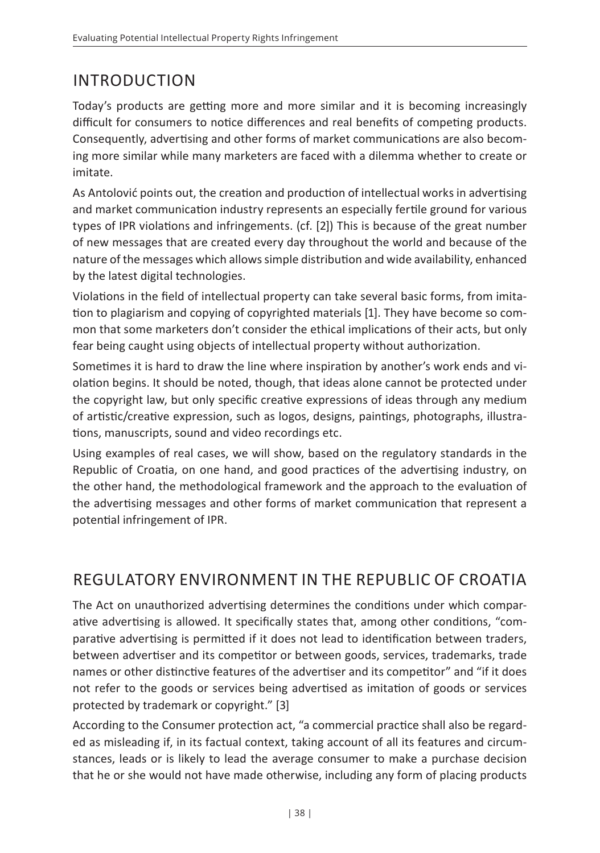# INTRODUCTION

Today's products are getting more and more similar and it is becoming increasingly difficult for consumers to notice differences and real benefits of competing products. Consequently, advertising and other forms of market communications are also becoming more similar while many marketers are faced with a dilemma whether to create or imitate.

As Antolović points out, the creation and production of intellectual works in advertising and market communication industry represents an especially fertile ground for various types of IPR violations and infringements. (cf. [2]) This is because of the great number of new messages that are created every day throughout the world and because of the nature of the messages which allows simple distribution and wide availability, enhanced by the latest digital technologies.

Violations in the field of intellectual property can take several basic forms, from imitation to plagiarism and copying of copyrighted materials [1]. They have become so common that some marketers don't consider the ethical implications of their acts, but only fear being caught using objects of intellectual property without authorization.

Sometimes it is hard to draw the line where inspiration by another's work ends and violation begins. It should be noted, though, that ideas alone cannot be protected under the copyright law, but only specific creative expressions of ideas through any medium of artistic/creative expression, such as logos, designs, paintings, photographs, illustrations, manuscripts, sound and video recordings etc.

Using examples of real cases, we will show, based on the regulatory standards in the Republic of Croatia, on one hand, and good practices of the advertising industry, on the other hand, the methodological framework and the approach to the evaluation of the advertising messages and other forms of market communication that represent a potential infringement of IPR.

## REGULATORY ENVIRONMENT IN THE REPUBLIC OF CROATIA

The Act on unauthorized advertising determines the conditions under which comparative advertising is allowed. It specifically states that, among other conditions, "comparative advertising is permitted if it does not lead to identification between traders, between advertiser and its competitor or between goods, services, trademarks, trade names or other distinctive features of the advertiser and its competitor" and "if it does not refer to the goods or services being advertised as imitation of goods or services protected by trademark or copyright." [3]

According to the Consumer protection act, "a commercial practice shall also be regarded as misleading if, in its factual context, taking account of all its features and circumstances, leads or is likely to lead the average consumer to make a purchase decision that he or she would not have made otherwise, including any form of placing products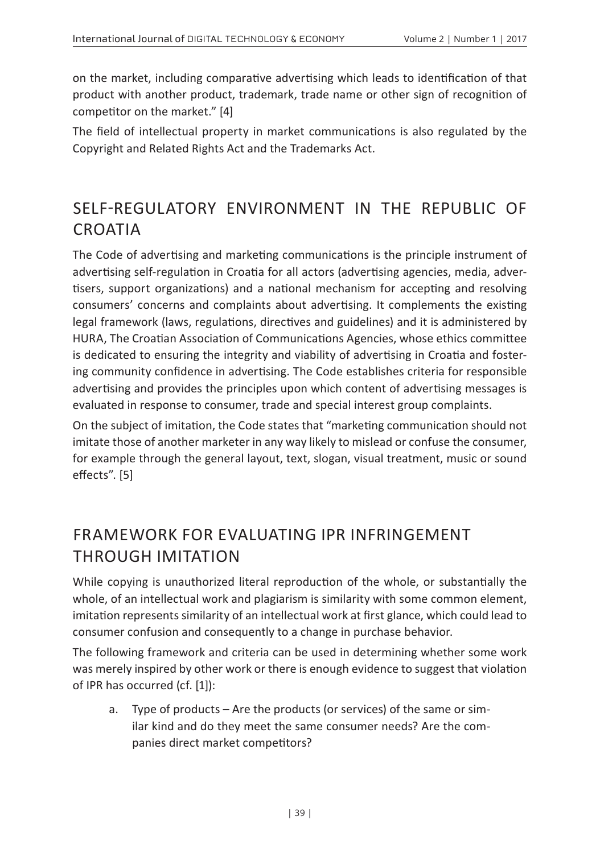on the market, including comparative advertising which leads to identification of that product with another product, trademark, trade name or other sign of recognition of competitor on the market." [4]

The field of intellectual property in market communications is also regulated by the Copyright and Related Rights Act and the Trademarks Act.

# SELF-REGULATORY ENVIRONMENT IN THE REPUBLIC OF **CROATIA**

The Code of advertising and marketing communications is the principle instrument of advertising self-regulation in Croatia for all actors (advertising agencies, media, advertisers, support organizations) and a national mechanism for accepting and resolving consumers' concerns and complaints about advertising. It complements the existing legal framework (laws, regulations, directives and guidelines) and it is administered by HURA, The Croatian Association of Communications Agencies, whose ethics committee is dedicated to ensuring the integrity and viability of advertising in Croatia and fostering community confidence in advertising. The Code establishes criteria for responsible advertising and provides the principles upon which content of advertising messages is evaluated in response to consumer, trade and special interest group complaints.

On the subject of imitation, the Code states that "marketing communication should not imitate those of another marketer in any way likely to mislead or confuse the consumer, for example through the general layout, text, slogan, visual treatment, music or sound effects". [5]

## FRAMEWORK FOR EVALUATING IPR INFRINGEMENT THROUGH IMITATION

While copying is unauthorized literal reproduction of the whole, or substantially the whole, of an intellectual work and plagiarism is similarity with some common element, imitation represents similarity of an intellectual work at first glance, which could lead to consumer confusion and consequently to a change in purchase behavior.

The following framework and criteria can be used in determining whether some work was merely inspired by other work or there is enough evidence to suggest that violation of IPR has occurred (cf. [1]):

a. Type of products – Are the products (or services) of the same or similar kind and do they meet the same consumer needs? Are the companies direct market competitors?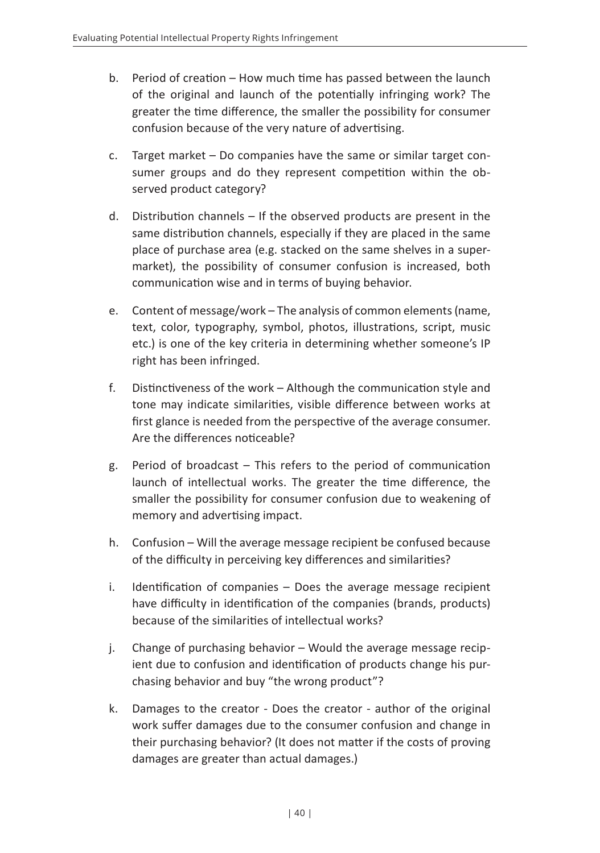- b. Period of creation How much time has passed between the launch of the original and launch of the potentially infringing work? The greater the time difference, the smaller the possibility for consumer confusion because of the very nature of advertising.
- c. Target market Do companies have the same or similar target consumer groups and do they represent competition within the observed product category?
- d. Distribution channels If the observed products are present in the same distribution channels, especially if they are placed in the same place of purchase area (e.g. stacked on the same shelves in a supermarket), the possibility of consumer confusion is increased, both communication wise and in terms of buying behavior.
- e. Content of message/work The analysis of common elements (name, text, color, typography, symbol, photos, illustrations, script, music etc.) is one of the key criteria in determining whether someone's IP right has been infringed.
- f. Distinctiveness of the work Although the communication style and tone may indicate similarities, visible difference between works at first glance is needed from the perspective of the average consumer. Are the differences noticeable?
- g. Period of broadcast This refers to the period of communication launch of intellectual works. The greater the time difference, the smaller the possibility for consumer confusion due to weakening of memory and advertising impact.
- h. Confusion Will the average message recipient be confused because of the difficulty in perceiving key differences and similarities?
- i. Identification of companies Does the average message recipient have difficulty in identification of the companies (brands, products) because of the similarities of intellectual works?
- j. Change of purchasing behavior Would the average message recipient due to confusion and identification of products change his purchasing behavior and buy "the wrong product"?
- k. Damages to the creator Does the creator author of the original work suffer damages due to the consumer confusion and change in their purchasing behavior? (It does not matter if the costs of proving damages are greater than actual damages.)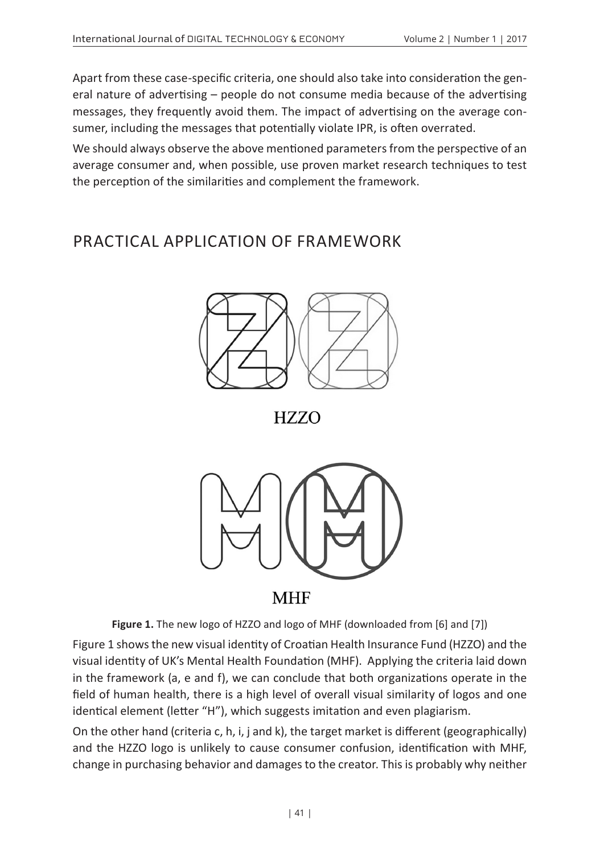Apart from these case-specific criteria, one should also take into consideration the general nature of advertising – people do not consume media because of the advertising messages, they frequently avoid them. The impact of advertising on the average consumer, including the messages that potentially violate IPR, is often overrated.

We should always observe the above mentioned parameters from the perspective of an average consumer and, when possible, use proven market research techniques to test the perception of the similarities and complement the framework.

## PRACTICAL APPLICATION OF FRAMEWORK



**HZZO** 



**MHF** 

**Figure 1.** The new logo of HZZO and logo of MHF (downloaded from [6] and [7])

Figure 1 shows the new visual identity of Croatian Health Insurance Fund (HZZO) and the visual identity of UK's Mental Health Foundation (MHF). Applying the criteria laid down in the framework (a, e and f), we can conclude that both organizations operate in the field of human health, there is a high level of overall visual similarity of logos and one identical element (letter "H"), which suggests imitation and even plagiarism.

On the other hand (criteria c, h, i, j and k), the target market is different (geographically) and the HZZO logo is unlikely to cause consumer confusion, identification with MHF, change in purchasing behavior and damages to the creator. This is probably why neither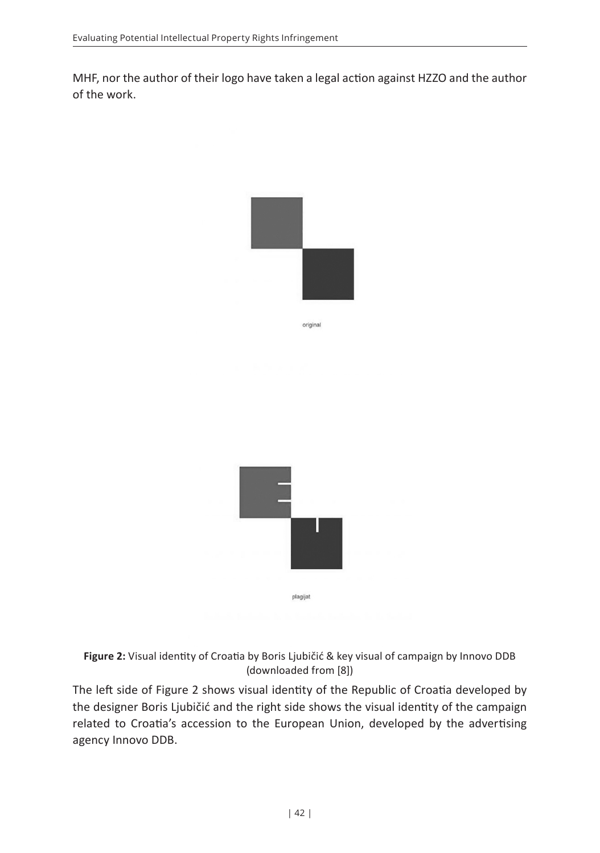MHF, nor the author of their logo have taken a legal action against HZZO and the author of the work.





**Figure 2:** Visual identity of Croatia by Boris Ljubičić & key visual of campaign by Innovo DDB (downloaded from [8])

The left side of Figure 2 shows visual identity of the Republic of Croatia developed by the designer Boris Ljubičić and the right side shows the visual identity of the campaign related to Croatia's accession to the European Union, developed by the advertising agency Innovo DDB.